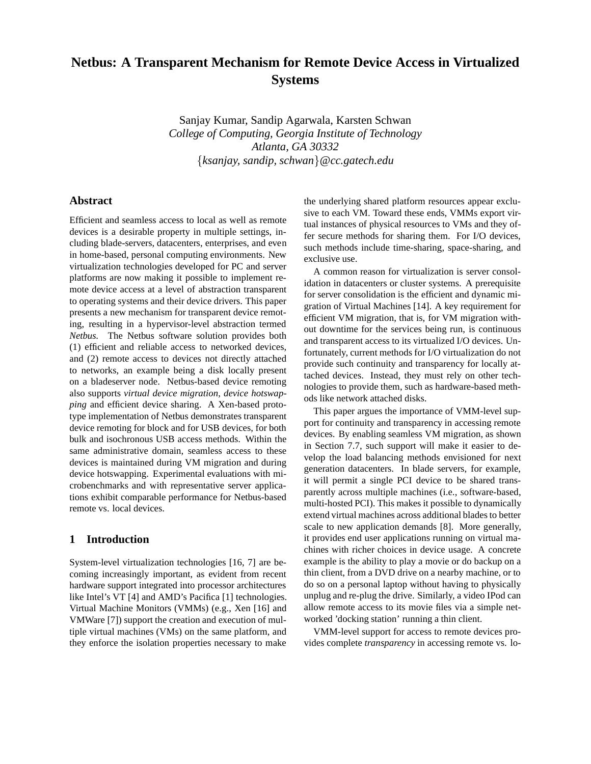# **Netbus: A Transparent Mechanism for Remote Device Access in Virtualized Systems**

Sanjay Kumar, Sandip Agarwala, Karsten Schwan *College of Computing, Georgia Institute of Technology Atlanta, GA 30332* {*ksanjay, sandip, schwan*}*@cc.gatech.edu*

## **Abstract**

Efficient and seamless access to local as well as remote devices is a desirable property in multiple settings, including blade-servers, datacenters, enterprises, and even in home-based, personal computing environments. New virtualization technologies developed for PC and server platforms are now making it possible to implement remote device access at a level of abstraction transparent to operating systems and their device drivers. This paper presents a new mechanism for transparent device remoting, resulting in a hypervisor-level abstraction termed *Netbus*. The Netbus software solution provides both (1) efficient and reliable access to networked devices, and (2) remote access to devices not directly attached to networks, an example being a disk locally present on a bladeserver node. Netbus-based device remoting also supports *virtual device migration*, *device hotswapping* and efficient device sharing. A Xen-based prototype implementation of Netbus demonstrates transparent device remoting for block and for USB devices, for both bulk and isochronous USB access methods. Within the same administrative domain, seamless access to these devices is maintained during VM migration and during device hotswapping. Experimental evaluations with microbenchmarks and with representative server applications exhibit comparable performance for Netbus-based remote vs. local devices.

### **1 Introduction**

System-level virtualization technologies [16, 7] are becoming increasingly important, as evident from recent hardware support integrated into processor architectures like Intel's VT [4] and AMD's Pacifica [1] technologies. Virtual Machine Monitors (VMMs) (e.g., Xen [16] and VMWare [7]) support the creation and execution of multiple virtual machines (VMs) on the same platform, and they enforce the isolation properties necessary to make the underlying shared platform resources appear exclusive to each VM. Toward these ends, VMMs export virtual instances of physical resources to VMs and they offer secure methods for sharing them. For I/O devices, such methods include time-sharing, space-sharing, and exclusive use.

A common reason for virtualization is server consolidation in datacenters or cluster systems. A prerequisite for server consolidation is the efficient and dynamic migration of Virtual Machines [14]. A key requirement for efficient VM migration, that is, for VM migration without downtime for the services being run, is continuous and transparent access to its virtualized I/O devices. Unfortunately, current methods for I/O virtualization do not provide such continuity and transparency for locally attached devices. Instead, they must rely on other technologies to provide them, such as hardware-based methods like network attached disks.

This paper argues the importance of VMM-level support for continuity and transparency in accessing remote devices. By enabling seamless VM migration, as shown in Section 7.7, such support will make it easier to develop the load balancing methods envisioned for next generation datacenters. In blade servers, for example, it will permit a single PCI device to be shared transparently across multiple machines (i.e., software-based, multi-hosted PCI). This makes it possible to dynamically extend virtual machines across additional blades to better scale to new application demands [8]. More generally, it provides end user applications running on virtual machines with richer choices in device usage. A concrete example is the ability to play a movie or do backup on a thin client, from a DVD drive on a nearby machine, or to do so on a personal laptop without having to physically unplug and re-plug the drive. Similarly, a video IPod can allow remote access to its movie files via a simple networked 'docking station' running a thin client.

VMM-level support for access to remote devices provides complete *transparency* in accessing remote vs. lo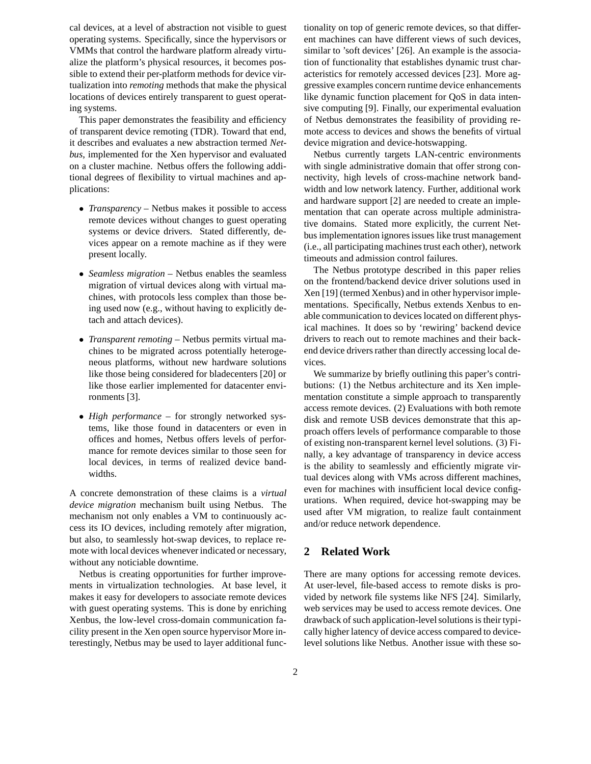cal devices, at a level of abstraction not visible to guest operating systems. Specifically, since the hypervisors or VMMs that control the hardware platform already virtualize the platform's physical resources, it becomes possible to extend their per-platform methods for device virtualization into *remoting* methods that make the physical locations of devices entirely transparent to guest operating systems.

This paper demonstrates the feasibility and efficiency of transparent device remoting (TDR). Toward that end, it describes and evaluates a new abstraction termed *Netbus*, implemented for the Xen hypervisor and evaluated on a cluster machine. Netbus offers the following additional degrees of flexibility to virtual machines and applications:

- *Transparency* Netbus makes it possible to access remote devices without changes to guest operating systems or device drivers. Stated differently, devices appear on a remote machine as if they were present locally.
- *Seamless migration* Netbus enables the seamless migration of virtual devices along with virtual machines, with protocols less complex than those being used now (e.g., without having to explicitly detach and attach devices).
- *Transparent remoting* Netbus permits virtual machines to be migrated across potentially heterogeneous platforms, without new hardware solutions like those being considered for bladecenters [20] or like those earlier implemented for datacenter environments [3].
- *High performance* for strongly networked systems, like those found in datacenters or even in offices and homes, Netbus offers levels of performance for remote devices similar to those seen for local devices, in terms of realized device bandwidths.

A concrete demonstration of these claims is a *virtual device migration* mechanism built using Netbus. The mechanism not only enables a VM to continuously access its IO devices, including remotely after migration, but also, to seamlessly hot-swap devices, to replace remote with local devices whenever indicated or necessary, without any noticiable downtime.

Netbus is creating opportunities for further improvements in virtualization technologies. At base level, it makes it easy for developers to associate remote devices with guest operating systems. This is done by enriching Xenbus, the low-level cross-domain communication facility present in the Xen open source hypervisor More interestingly, Netbus may be used to layer additional functionality on top of generic remote devices, so that different machines can have different views of such devices, similar to 'soft devices' [26]. An example is the association of functionality that establishes dynamic trust characteristics for remotely accessed devices [23]. More aggressive examples concern runtime device enhancements like dynamic function placement for QoS in data intensive computing [9]. Finally, our experimental evaluation of Netbus demonstrates the feasibility of providing remote access to devices and shows the benefits of virtual device migration and device-hotswapping.

Netbus currently targets LAN-centric environments with single administrative domain that offer strong connectivity, high levels of cross-machine network bandwidth and low network latency. Further, additional work and hardware support [2] are needed to create an implementation that can operate across multiple administrative domains. Stated more explicitly, the current Netbus implementation ignores issues like trust management (i.e., all participating machines trust each other), network timeouts and admission control failures.

The Netbus prototype described in this paper relies on the frontend/backend device driver solutions used in Xen [19] (termed Xenbus) and in other hypervisor implementations. Specifically, Netbus extends Xenbus to enable communication to devices located on different physical machines. It does so by 'rewiring' backend device drivers to reach out to remote machines and their backend device drivers rather than directly accessing local devices.

We summarize by briefly outlining this paper's contributions: (1) the Netbus architecture and its Xen implementation constitute a simple approach to transparently access remote devices. (2) Evaluations with both remote disk and remote USB devices demonstrate that this approach offers levels of performance comparable to those of existing non-transparent kernel level solutions. (3) Finally, a key advantage of transparency in device access is the ability to seamlessly and efficiently migrate virtual devices along with VMs across different machines, even for machines with insufficient local device configurations. When required, device hot-swapping may be used after VM migration, to realize fault containment and/or reduce network dependence.

## **2 Related Work**

There are many options for accessing remote devices. At user-level, file-based access to remote disks is provided by network file systems like NFS [24]. Similarly, web services may be used to access remote devices. One drawback of such application-level solutions is their typically higher latency of device access compared to devicelevel solutions like Netbus. Another issue with these so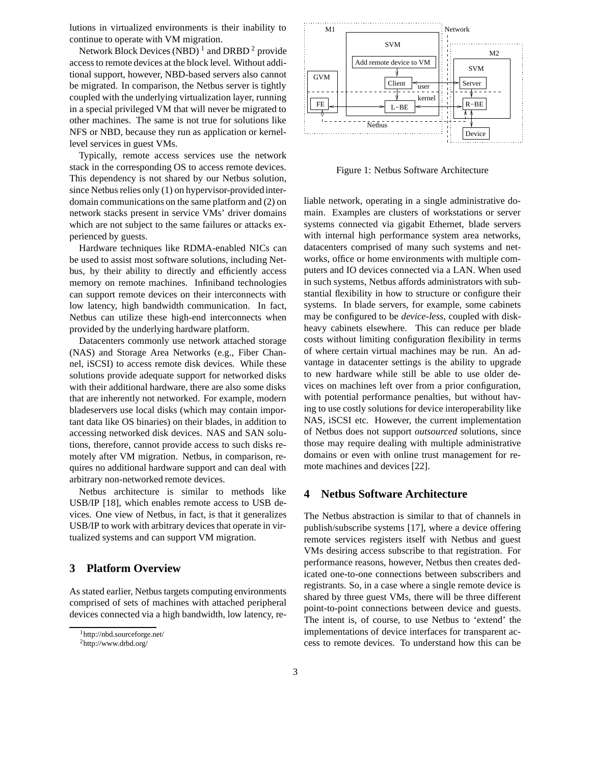lutions in virtualized environments is their inability to continue to operate with VM migration.

Network Block Devices (NBD)<sup>1</sup> and DRBD<sup>2</sup> provide access to remote devices at the block level. Without additional support, however, NBD-based servers also cannot be migrated. In comparison, the Netbus server is tightly coupled with the underlying virtualization layer, running in a special privileged VM that will never be migrated to other machines. The same is not true for solutions like NFS or NBD, because they run as application or kernellevel services in guest VMs.

Typically, remote access services use the network stack in the corresponding OS to access remote devices. This dependency is not shared by our Netbus solution, since Netbus relies only (1) on hypervisor-provided interdomain communications on the same platform and (2) on network stacks present in service VMs' driver domains which are not subject to the same failures or attacks experienced by guests.

Hardware techniques like RDMA-enabled NICs can be used to assist most software solutions, including Netbus, by their ability to directly and efficiently access memory on remote machines. Infiniband technologies can support remote devices on their interconnects with low latency, high bandwidth communication. In fact, Netbus can utilize these high-end interconnects when provided by the underlying hardware platform.

Datacenters commonly use network attached storage (NAS) and Storage Area Networks (e.g., Fiber Channel, iSCSI) to access remote disk devices. While these solutions provide adequate support for networked disks with their additional hardware, there are also some disks that are inherently not networked. For example, modern bladeservers use local disks (which may contain important data like OS binaries) on their blades, in addition to accessing networked disk devices. NAS and SAN solutions, therefore, cannot provide access to such disks remotely after VM migration. Netbus, in comparison, requires no additional hardware support and can deal with arbitrary non-networked remote devices.

Netbus architecture is similar to methods like USB/IP [18], which enables remote access to USB devices. One view of Netbus, in fact, is that it generalizes USB/IP to work with arbitrary devices that operate in virtualized systems and can support VM migration.

## **3 Platform Overview**

As stated earlier, Netbus targets computing environments comprised of sets of machines with attached peripheral devices connected via a high bandwidth, low latency, re-



Figure 1: Netbus Software Architecture

liable network, operating in a single administrative domain. Examples are clusters of workstations or server systems connected via gigabit Ethernet, blade servers with internal high performance system area networks, datacenters comprised of many such systems and networks, office or home environments with multiple computers and IO devices connected via a LAN. When used in such systems, Netbus affords administrators with substantial flexibility in how to structure or configure their systems. In blade servers, for example, some cabinets may be configured to be *device-less*, coupled with diskheavy cabinets elsewhere. This can reduce per blade costs without limiting configuration flexibility in terms of where certain virtual machines may be run. An advantage in datacenter settings is the ability to upgrade to new hardware while still be able to use older devices on machines left over from a prior configuration, with potential performance penalties, but without having to use costly solutions for device interoperability like NAS, iSCSI etc. However, the current implementation of Netbus does not support *outsourced* solutions, since those may require dealing with multiple administrative domains or even with online trust management for remote machines and devices [22].

#### **4 Netbus Software Architecture**

The Netbus abstraction is similar to that of channels in publish/subscribe systems [17], where a device offering remote services registers itself with Netbus and guest VMs desiring access subscribe to that registration. For performance reasons, however, Netbus then creates dedicated one-to-one connections between subscribers and registrants. So, in a case where a single remote device is shared by three guest VMs, there will be three different point-to-point connections between device and guests. The intent is, of course, to use Netbus to 'extend' the implementations of device interfaces for transparent access to remote devices. To understand how this can be

<sup>1</sup>http://nbd.sourceforge.net/

<sup>2</sup>http://www.drbd.org/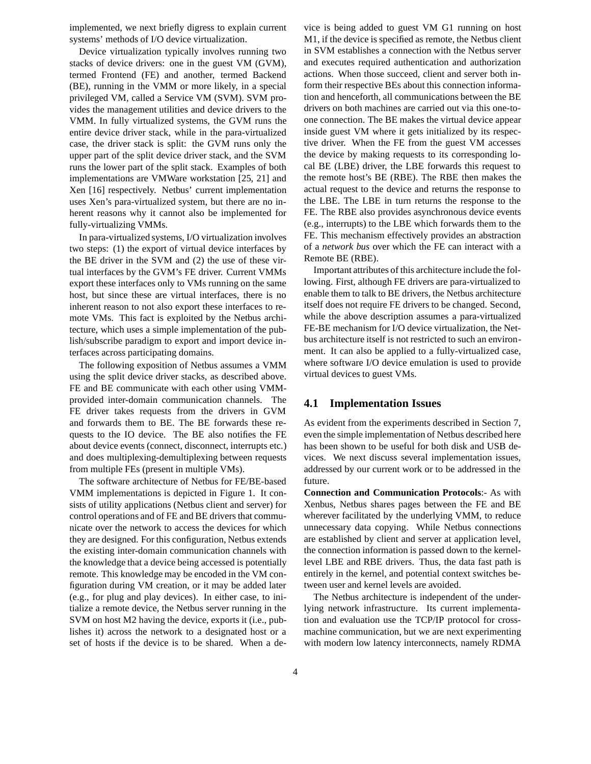implemented, we next briefly digress to explain current systems' methods of I/O device virtualization.

Device virtualization typically involves running two stacks of device drivers: one in the guest VM (GVM), termed Frontend (FE) and another, termed Backend (BE), running in the VMM or more likely, in a special privileged VM, called a Service VM (SVM). SVM provides the management utilities and device drivers to the VMM. In fully virtualized systems, the GVM runs the entire device driver stack, while in the para-virtualized case, the driver stack is split: the GVM runs only the upper part of the split device driver stack, and the SVM runs the lower part of the split stack. Examples of both implementations are VMWare workstation [25, 21] and Xen [16] respectively. Netbus' current implementation uses Xen's para-virtualized system, but there are no inherent reasons why it cannot also be implemented for fully-virtualizing VMMs.

In para-virtualized systems, I/O virtualization involves two steps: (1) the export of virtual device interfaces by the BE driver in the SVM and (2) the use of these virtual interfaces by the GVM's FE driver. Current VMMs export these interfaces only to VMs running on the same host, but since these are virtual interfaces, there is no inherent reason to not also export these interfaces to remote VMs. This fact is exploited by the Netbus architecture, which uses a simple implementation of the publish/subscribe paradigm to export and import device interfaces across participating domains.

The following exposition of Netbus assumes a VMM using the split device driver stacks, as described above. FE and BE communicate with each other using VMMprovided inter-domain communication channels. The FE driver takes requests from the drivers in GVM and forwards them to BE. The BE forwards these requests to the IO device. The BE also notifies the FE about device events (connect, disconnect, interrupts etc.) and does multiplexing-demultiplexing between requests from multiple FEs (present in multiple VMs).

The software architecture of Netbus for FE/BE-based VMM implementations is depicted in Figure 1. It consists of utility applications (Netbus client and server) for control operations and of FE and BE drivers that communicate over the network to access the devices for which they are designed. For this configuration, Netbus extends the existing inter-domain communication channels with the knowledge that a device being accessed is potentially remote. This knowledge may be encoded in the VM configuration during VM creation, or it may be added later (e.g., for plug and play devices). In either case, to initialize a remote device, the Netbus server running in the SVM on host M2 having the device, exports it (i.e., publishes it) across the network to a designated host or a set of hosts if the device is to be shared. When a device is being added to guest VM G1 running on host M1, if the device is specified as remote, the Netbus client in SVM establishes a connection with the Netbus server and executes required authentication and authorization actions. When those succeed, client and server both inform their respective BEs about this connection information and henceforth, all communications between the BE drivers on both machines are carried out via this one-toone connection. The BE makes the virtual device appear inside guest VM where it gets initialized by its respective driver. When the FE from the guest VM accesses the device by making requests to its corresponding local BE (LBE) driver, the LBE forwards this request to the remote host's BE (RBE). The RBE then makes the actual request to the device and returns the response to the LBE. The LBE in turn returns the response to the FE. The RBE also provides asynchronous device events (e.g., interrupts) to the LBE which forwards them to the FE. This mechanism effectively provides an abstraction of a *network bus* over which the FE can interact with a Remote BE (RBE).

Important attributes of this architecture include the following. First, although FE drivers are para-virtualized to enable them to talk to BE drivers, the Netbus architecture itself does not require FE drivers to be changed. Second, while the above description assumes a para-virtualized FE-BE mechanism for I/O device virtualization, the Netbus architecture itself is not restricted to such an environment. It can also be applied to a fully-virtualized case, where software I/O device emulation is used to provide virtual devices to guest VMs.

## **4.1 Implementation Issues**

As evident from the experiments described in Section 7, even the simple implementation of Netbus described here has been shown to be useful for both disk and USB devices. We next discuss several implementation issues, addressed by our current work or to be addressed in the future.

**Connection and Communication Protocols**:- As with Xenbus, Netbus shares pages between the FE and BE wherever facilitated by the underlying VMM, to reduce unnecessary data copying. While Netbus connections are established by client and server at application level, the connection information is passed down to the kernellevel LBE and RBE drivers. Thus, the data fast path is entirely in the kernel, and potential context switches between user and kernel levels are avoided.

The Netbus architecture is independent of the underlying network infrastructure. Its current implementation and evaluation use the TCP/IP protocol for crossmachine communication, but we are next experimenting with modern low latency interconnects, namely RDMA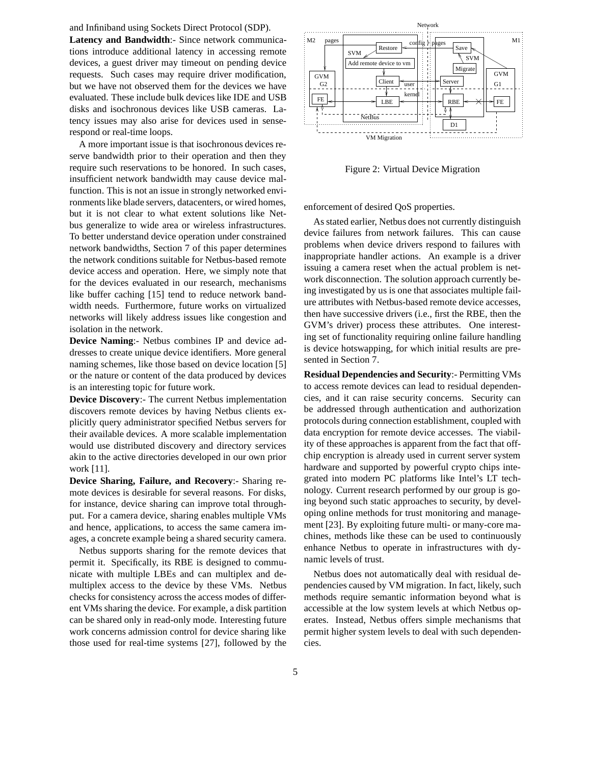and Infiniband using Sockets Direct Protocol (SDP).

**Latency and Bandwidth**:- Since network communications introduce additional latency in accessing remote devices, a guest driver may timeout on pending device requests. Such cases may require driver modification, but we have not observed them for the devices we have evaluated. These include bulk devices like IDE and USB disks and isochronous devices like USB cameras. Latency issues may also arise for devices used in senserespond or real-time loops.

A more important issue is that isochronous devices reserve bandwidth prior to their operation and then they require such reservations to be honored. In such cases, insufficient network bandwidth may cause device malfunction. This is not an issue in strongly networked environments like blade servers, datacenters, or wired homes, but it is not clear to what extent solutions like Netbus generalize to wide area or wireless infrastructures. To better understand device operation under constrained network bandwidths, Section 7 of this paper determines the network conditions suitable for Netbus-based remote device access and operation. Here, we simply note that for the devices evaluated in our research, mechanisms like buffer caching [15] tend to reduce network bandwidth needs. Furthermore, future works on virtualized networks will likely address issues like congestion and isolation in the network.

**Device Naming**:- Netbus combines IP and device addresses to create unique device identifiers. More general naming schemes, like those based on device location [5] or the nature or content of the data produced by devices is an interesting topic for future work.

**Device Discovery**:- The current Netbus implementation discovers remote devices by having Netbus clients explicitly query administrator specified Netbus servers for their available devices. A more scalable implementation would use distributed discovery and directory services akin to the active directories developed in our own prior work [11].

**Device Sharing, Failure, and Recovery**:- Sharing remote devices is desirable for several reasons. For disks, for instance, device sharing can improve total throughput. For a camera device, sharing enables multiple VMs and hence, applications, to access the same camera images, a concrete example being a shared security camera.

Netbus supports sharing for the remote devices that permit it. Specifically, its RBE is designed to communicate with multiple LBEs and can multiplex and demultiplex access to the device by these VMs. Netbus checks for consistency across the access modes of different VMs sharing the device. For example, a disk partition can be shared only in read-only mode. Interesting future work concerns admission control for device sharing like those used for real-time systems [27], followed by the



Figure 2: Virtual Device Migration

enforcement of desired QoS properties.

As stated earlier, Netbus does not currently distinguish device failures from network failures. This can cause problems when device drivers respond to failures with inappropriate handler actions. An example is a driver issuing a camera reset when the actual problem is network disconnection. The solution approach currently being investigated by us is one that associates multiple failure attributes with Netbus-based remote device accesses, then have successive drivers (i.e., first the RBE, then the GVM's driver) process these attributes. One interesting set of functionality requiring online failure handling is device hotswapping, for which initial results are presented in Section 7.

**Residual Dependencies and Security**:- Permitting VMs to access remote devices can lead to residual dependencies, and it can raise security concerns. Security can be addressed through authentication and authorization protocols during connection establishment, coupled with data encryption for remote device accesses. The viability of these approaches is apparent from the fact that offchip encryption is already used in current server system hardware and supported by powerful crypto chips integrated into modern PC platforms like Intel's LT technology. Current research performed by our group is going beyond such static approaches to security, by developing online methods for trust monitoring and management [23]. By exploiting future multi- or many-core machines, methods like these can be used to continuously enhance Netbus to operate in infrastructures with dynamic levels of trust.

Netbus does not automatically deal with residual dependencies caused by VM migration. In fact, likely, such methods require semantic information beyond what is accessible at the low system levels at which Netbus operates. Instead, Netbus offers simple mechanisms that permit higher system levels to deal with such dependencies.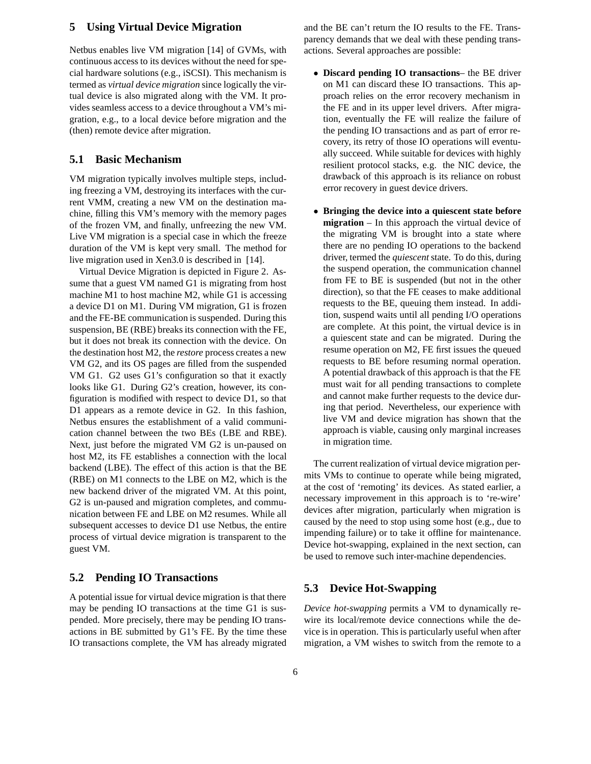## **5 Using Virtual Device Migration**

Netbus enables live VM migration [14] of GVMs, with continuous access to its devices without the need for special hardware solutions (e.g., iSCSI). This mechanism is termed as *virtual device migration* since logically the virtual device is also migrated along with the VM. It provides seamless access to a device throughout a VM's migration, e.g., to a local device before migration and the (then) remote device after migration.

## **5.1 Basic Mechanism**

VM migration typically involves multiple steps, including freezing a VM, destroying its interfaces with the current VMM, creating a new VM on the destination machine, filling this VM's memory with the memory pages of the frozen VM, and finally, unfreezing the new VM. Live VM migration is a special case in which the freeze duration of the VM is kept very small. The method for live migration used in Xen3.0 is described in [14].

Virtual Device Migration is depicted in Figure 2. Assume that a guest VM named G1 is migrating from host machine M1 to host machine M2, while G1 is accessing a device D1 on M1. During VM migration, G1 is frozen and the FE-BE communication is suspended. During this suspension, BE (RBE) breaks its connection with the FE, but it does not break its connection with the device. On the destination host M2, the *restore* process creates a new VM G2, and its OS pages are filled from the suspended VM G1. G2 uses G1's configuration so that it exactly looks like G1. During G2's creation, however, its configuration is modified with respect to device D1, so that D1 appears as a remote device in G2. In this fashion, Netbus ensures the establishment of a valid communication channel between the two BEs (LBE and RBE). Next, just before the migrated VM G2 is un-paused on host M2, its FE establishes a connection with the local backend (LBE). The effect of this action is that the BE (RBE) on M1 connects to the LBE on M2, which is the new backend driver of the migrated VM. At this point, G2 is un-paused and migration completes, and communication between FE and LBE on M2 resumes. While all subsequent accesses to device D1 use Netbus, the entire process of virtual device migration is transparent to the guest VM.

#### **5.2 Pending IO Transactions**

A potential issue for virtual device migration is that there may be pending IO transactions at the time G1 is suspended. More precisely, there may be pending IO transactions in BE submitted by G1's FE. By the time these IO transactions complete, the VM has already migrated and the BE can't return the IO results to the FE. Transparency demands that we deal with these pending transactions. Several approaches are possible:

- **Discard pending IO transactions** the BE driver on M1 can discard these IO transactions. This approach relies on the error recovery mechanism in the FE and in its upper level drivers. After migration, eventually the FE will realize the failure of the pending IO transactions and as part of error recovery, its retry of those IO operations will eventually succeed. While suitable for devices with highly resilient protocol stacks, e.g. the NIC device, the drawback of this approach is its reliance on robust error recovery in guest device drivers.
- **Bringing the device into a quiescent state before migration** – In this approach the virtual device of the migrating VM is brought into a state where there are no pending IO operations to the backend driver, termed the *quiescent* state. To do this, during the suspend operation, the communication channel from FE to BE is suspended (but not in the other direction), so that the FE ceases to make additional requests to the BE, queuing them instead. In addition, suspend waits until all pending I/O operations are complete. At this point, the virtual device is in a quiescent state and can be migrated. During the resume operation on M2, FE first issues the queued requests to BE before resuming normal operation. A potential drawback of this approach is that the FE must wait for all pending transactions to complete and cannot make further requests to the device during that period. Nevertheless, our experience with live VM and device migration has shown that the approach is viable, causing only marginal increases in migration time.

The current realization of virtual device migration permits VMs to continue to operate while being migrated, at the cost of 'remoting' its devices. As stated earlier, a necessary improvement in this approach is to 're-wire' devices after migration, particularly when migration is caused by the need to stop using some host (e.g., due to impending failure) or to take it offline for maintenance. Device hot-swapping, explained in the next section, can be used to remove such inter-machine dependencies.

## **5.3 Device Hot-Swapping**

*Device hot-swapping* permits a VM to dynamically rewire its local/remote device connections while the device is in operation. This is particularly useful when after migration, a VM wishes to switch from the remote to a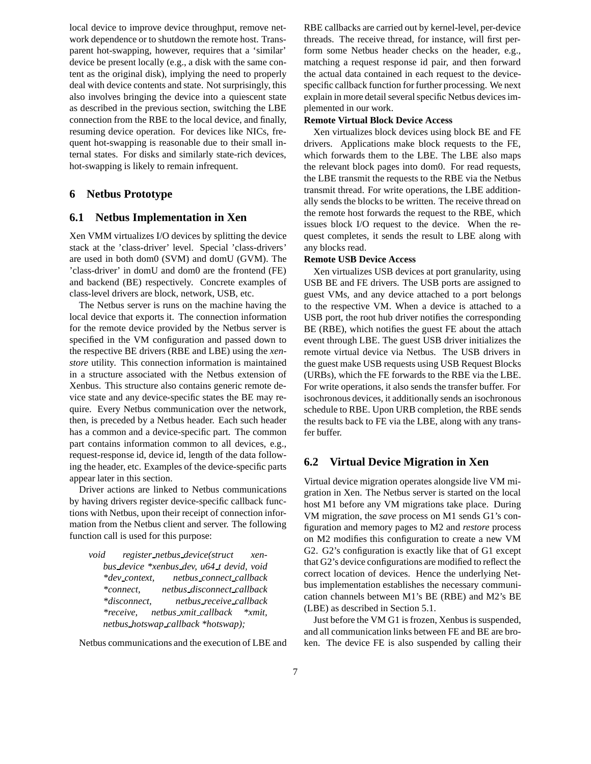local device to improve device throughput, remove network dependence or to shutdown the remote host. Transparent hot-swapping, however, requires that a 'similar' device be present locally (e.g., a disk with the same content as the original disk), implying the need to properly deal with device contents and state. Not surprisingly, this also involves bringing the device into a quiescent state as described in the previous section, switching the LBE connection from the RBE to the local device, and finally, resuming device operation. For devices like NICs, frequent hot-swapping is reasonable due to their small internal states. For disks and similarly state-rich devices, hot-swapping is likely to remain infrequent.

## **6 Netbus Prototype**

## **6.1 Netbus Implementation in Xen**

Xen VMM virtualizes I/O devices by splitting the device stack at the 'class-driver' level. Special 'class-drivers' are used in both dom0 (SVM) and domU (GVM). The 'class-driver' in domU and dom0 are the frontend (FE) and backend (BE) respectively. Concrete examples of class-level drivers are block, network, USB, etc.

The Netbus server is runs on the machine having the local device that exports it. The connection information for the remote device provided by the Netbus server is specified in the VM configuration and passed down to the respective BE drivers (RBE and LBE) using the *xenstore* utility. This connection information is maintained in a structure associated with the Netbus extension of Xenbus. This structure also contains generic remote device state and any device-specific states the BE may require. Every Netbus communication over the network, then, is preceded by a Netbus header. Each such header has a common and a device-specific part. The common part contains information common to all devices, e.g., request-response id, device id, length of the data following the header, etc. Examples of the device-specific parts appear later in this section.

Driver actions are linked to Netbus communications by having drivers register device-specific callback functions with Netbus, upon their receipt of connection information from the Netbus client and server. The following function call is used for this purpose:

*void register netbus device(struct xenbus device \*xenbus dev, u64 t devid, void \*dev context, netbus connect callback \*connect, netbus disconnect callback \*disconnect, netbus receive callback \*receive, netbus xmit callback \*xmit, netbus hotswap callback \*hotswap);*

Netbus communications and the execution of LBE and

RBE callbacks are carried out by kernel-level, per-device threads. The receive thread, for instance, will first perform some Netbus header checks on the header, e.g., matching a request response id pair, and then forward the actual data contained in each request to the devicespecific callback function for further processing. We next explain in more detail several specific Netbus devices implemented in our work.

#### **Remote Virtual Block Device Access**

Xen virtualizes block devices using block BE and FE drivers. Applications make block requests to the FE, which forwards them to the LBE. The LBE also maps the relevant block pages into dom0. For read requests, the LBE transmit the requests to the RBE via the Netbus transmit thread. For write operations, the LBE additionally sends the blocks to be written. The receive thread on the remote host forwards the request to the RBE, which issues block I/O request to the device. When the request completes, it sends the result to LBE along with any blocks read.

#### **Remote USB Device Access**

Xen virtualizes USB devices at port granularity, using USB BE and FE drivers. The USB ports are assigned to guest VMs, and any device attached to a port belongs to the respective VM. When a device is attached to a USB port, the root hub driver notifies the corresponding BE (RBE), which notifies the guest FE about the attach event through LBE. The guest USB driver initializes the remote virtual device via Netbus. The USB drivers in the guest make USB requests using USB Request Blocks (URBs), which the FE forwards to the RBE via the LBE. For write operations, it also sends the transfer buffer. For isochronous devices, it additionally sends an isochronous schedule to RBE. Upon URB completion, the RBE sends the results back to FE via the LBE, along with any transfer buffer.

#### **6.2 Virtual Device Migration in Xen**

Virtual device migration operates alongside live VM migration in Xen. The Netbus server is started on the local host M1 before any VM migrations take place. During VM migration, the *save* process on M1 sends G1's configuration and memory pages to M2 and *restore* process on M2 modifies this configuration to create a new VM G2. G2's configuration is exactly like that of G1 except that G2's device configurations are modified to reflect the correct location of devices. Hence the underlying Netbus implementation establishes the necessary communication channels between M1's BE (RBE) and M2's BE (LBE) as described in Section 5.1.

Just before the VM G1 is frozen, Xenbus is suspended, and all communication links between FE and BE are broken. The device FE is also suspended by calling their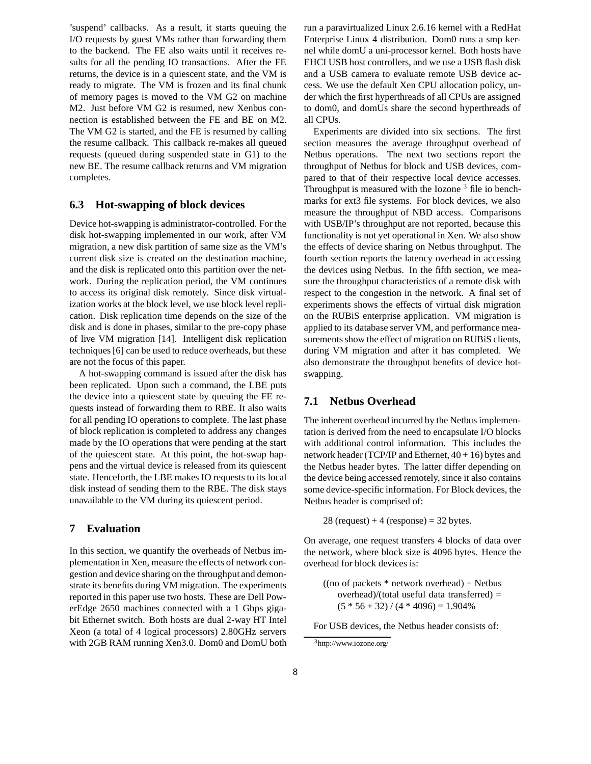'suspend' callbacks. As a result, it starts queuing the I/O requests by guest VMs rather than forwarding them to the backend. The FE also waits until it receives results for all the pending IO transactions. After the FE returns, the device is in a quiescent state, and the VM is ready to migrate. The VM is frozen and its final chunk of memory pages is moved to the VM G2 on machine M2. Just before VM G2 is resumed, new Xenbus connection is established between the FE and BE on M2. The VM G2 is started, and the FE is resumed by calling the resume callback. This callback re-makes all queued requests (queued during suspended state in G1) to the new BE. The resume callback returns and VM migration completes.

## **6.3 Hot-swapping of block devices**

Device hot-swapping is administrator-controlled. For the disk hot-swapping implemented in our work, after VM migration, a new disk partition of same size as the VM's current disk size is created on the destination machine, and the disk is replicated onto this partition over the network. During the replication period, the VM continues to access its original disk remotely. Since disk virtualization works at the block level, we use block level replication. Disk replication time depends on the size of the disk and is done in phases, similar to the pre-copy phase of live VM migration [14]. Intelligent disk replication techniques [6] can be used to reduce overheads, but these are not the focus of this paper.

A hot-swapping command is issued after the disk has been replicated. Upon such a command, the LBE puts the device into a quiescent state by queuing the FE requests instead of forwarding them to RBE. It also waits for all pending IO operations to complete. The last phase of block replication is completed to address any changes made by the IO operations that were pending at the start of the quiescent state. At this point, the hot-swap happens and the virtual device is released from its quiescent state. Henceforth, the LBE makes IO requests to its local disk instead of sending them to the RBE. The disk stays unavailable to the VM during its quiescent period.

## **7 Evaluation**

In this section, we quantify the overheads of Netbus implementation in Xen, measure the effects of network congestion and device sharing on the throughput and demonstrate its benefits during VM migration. The experiments reported in this paper use two hosts. These are Dell PowerEdge 2650 machines connected with a 1 Gbps gigabit Ethernet switch. Both hosts are dual 2-way HT Intel Xeon (a total of 4 logical processors) 2.80GHz servers with 2GB RAM running Xen3.0. Dom0 and DomU both run a paravirtualized Linux 2.6.16 kernel with a RedHat Enterprise Linux 4 distribution. Dom0 runs a smp kernel while domU a uni-processor kernel. Both hosts have EHCI USB host controllers, and we use a USB flash disk and a USB camera to evaluate remote USB device access. We use the default Xen CPU allocation policy, under which the first hyperthreads of all CPUs are assigned to dom0, and domUs share the second hyperthreads of all CPUs.

Experiments are divided into six sections. The first section measures the average throughput overhead of Netbus operations. The next two sections report the throughput of Netbus for block and USB devices, compared to that of their respective local device accesses. Throughput is measured with the Iozone  $3$  file io benchmarks for ext3 file systems. For block devices, we also measure the throughput of NBD access. Comparisons with USB/IP's throughput are not reported, because this functionality is not yet operational in Xen. We also show the effects of device sharing on Netbus throughput. The fourth section reports the latency overhead in accessing the devices using Netbus. In the fifth section, we measure the throughput characteristics of a remote disk with respect to the congestion in the network. A final set of experiments shows the effects of virtual disk migration on the RUBiS enterprise application. VM migration is applied to its database server VM, and performance measurements show the effect of migration on RUBiS clients, during VM migration and after it has completed. We also demonstrate the throughput benefits of device hotswapping.

#### **7.1 Netbus Overhead**

The inherent overhead incurred by the Netbus implementation is derived from the need to encapsulate I/O blocks with additional control information. This includes the network header (TCP/IP and Ethernet, 40 + 16) bytes and the Netbus header bytes. The latter differ depending on the device being accessed remotely, since it also contains some device-specific information. For Block devices, the Netbus header is comprised of:

28 (request)  $+4$  (response) = 32 bytes.

On average, one request transfers 4 blocks of data over the network, where block size is 4096 bytes. Hence the overhead for block devices is:

 $((no of packets * network overhead) + Networks)$ overhead)/(total useful data transferred) =  $(5 * 56 + 32) / (4 * 4096) = 1.904%$ 

For USB devices, the Netbus header consists of:

<sup>3</sup>http://www.iozone.org/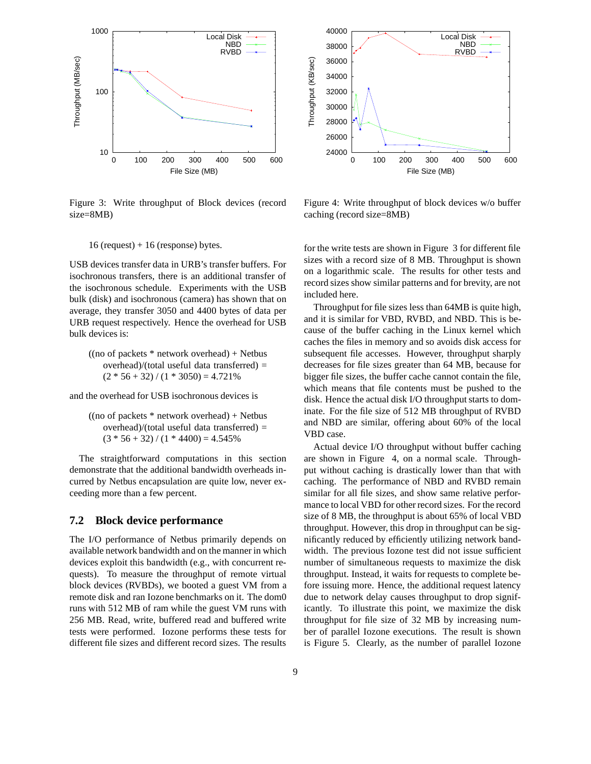

Figure 3: Write throughput of Block devices (record size=8MB)



Figure 4: Write throughput of block devices w/o buffer caching (record size=8MB)

#### $16$  (request) + 16 (response) bytes.

USB devices transfer data in URB's transfer buffers. For isochronous transfers, there is an additional transfer of the isochronous schedule. Experiments with the USB bulk (disk) and isochronous (camera) has shown that on average, they transfer 3050 and 4400 bytes of data per URB request respectively. Hence the overhead for USB bulk devices is:

 $((no of packets * network overhead) + Networks)$ overhead)/(total useful data transferred) =  $(2 * 56 + 32) / (1 * 3050) = 4.721\%$ 

and the overhead for USB isochronous devices is

 $((no of packets * network overhead) + Networks)$ overhead)/(total useful data transferred) =  $(3 * 56 + 32) / (1 * 4400) = 4.545%$ 

The straightforward computations in this section demonstrate that the additional bandwidth overheads incurred by Netbus encapsulation are quite low, never exceeding more than a few percent.

#### **7.2 Block device performance**

The I/O performance of Netbus primarily depends on available network bandwidth and on the manner in which devices exploit this bandwidth (e.g., with concurrent requests). To measure the throughput of remote virtual block devices (RVBDs), we booted a guest VM from a remote disk and ran Iozone benchmarks on it. The dom0 runs with 512 MB of ram while the guest VM runs with 256 MB. Read, write, buffered read and buffered write tests were performed. Iozone performs these tests for different file sizes and different record sizes. The results for the write tests are shown in Figure 3 for different file sizes with a record size of 8 MB. Throughput is shown on a logarithmic scale. The results for other tests and record sizes show similar patterns and for brevity, are not included here.

Throughput for file sizes less than 64MB is quite high, and it is similar for VBD, RVBD, and NBD. This is because of the buffer caching in the Linux kernel which caches the files in memory and so avoids disk access for subsequent file accesses. However, throughput sharply decreases for file sizes greater than 64 MB, because for bigger file sizes, the buffer cache cannot contain the file, which means that file contents must be pushed to the disk. Hence the actual disk I/O throughput starts to dominate. For the file size of 512 MB throughput of RVBD and NBD are similar, offering about 60% of the local VBD case.

Actual device I/O throughput without buffer caching are shown in Figure 4, on a normal scale. Throughput without caching is drastically lower than that with caching. The performance of NBD and RVBD remain similar for all file sizes, and show same relative performance to local VBD for other record sizes. For the record size of 8 MB, the throughput is about 65% of local VBD throughput. However, this drop in throughput can be significantly reduced by efficiently utilizing network bandwidth. The previous Iozone test did not issue sufficient number of simultaneous requests to maximize the disk throughput. Instead, it waits for requests to complete before issuing more. Hence, the additional request latency due to network delay causes throughput to drop significantly. To illustrate this point, we maximize the disk throughput for file size of 32 MB by increasing number of parallel Iozone executions. The result is shown is Figure 5. Clearly, as the number of parallel Iozone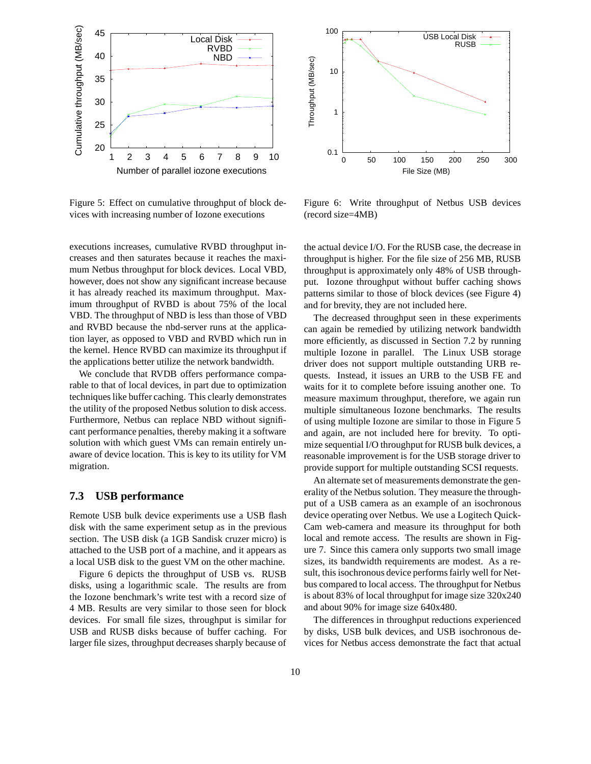

Figure 5: Effect on cumulative throughput of block devices with increasing number of Iozone executions

executions increases, cumulative RVBD throughput increases and then saturates because it reaches the maximum Netbus throughput for block devices. Local VBD, however, does not show any significant increase because it has already reached its maximum throughput. Maximum throughput of RVBD is about 75% of the local VBD. The throughput of NBD is less than those of VBD and RVBD because the nbd-server runs at the application layer, as opposed to VBD and RVBD which run in the kernel. Hence RVBD can maximize its throughput if the applications better utilize the network bandwidth.

We conclude that RVDB offers performance comparable to that of local devices, in part due to optimization techniques like buffer caching. This clearly demonstrates the utility of the proposed Netbus solution to disk access. Furthermore, Netbus can replace NBD without significant performance penalties, thereby making it a software solution with which guest VMs can remain entirely unaware of device location. This is key to its utility for VM migration.

## **7.3 USB performance**

Remote USB bulk device experiments use a USB flash disk with the same experiment setup as in the previous section. The USB disk (a 1GB Sandisk cruzer micro) is attached to the USB port of a machine, and it appears as a local USB disk to the guest VM on the other machine.

Figure 6 depicts the throughput of USB vs. RUSB disks, using a logarithmic scale. The results are from the Iozone benchmark's write test with a record size of 4 MB. Results are very similar to those seen for block devices. For small file sizes, throughput is similar for USB and RUSB disks because of buffer caching. For larger file sizes, throughput decreases sharply because of



Figure 6: Write throughput of Netbus USB devices (record size=4MB)

the actual device I/O. For the RUSB case, the decrease in throughput is higher. For the file size of 256 MB, RUSB throughput is approximately only 48% of USB throughput. Iozone throughput without buffer caching shows patterns similar to those of block devices (see Figure 4) and for brevity, they are not included here.

The decreased throughput seen in these experiments can again be remedied by utilizing network bandwidth more efficiently, as discussed in Section 7.2 by running multiple Iozone in parallel. The Linux USB storage driver does not support multiple outstanding URB requests. Instead, it issues an URB to the USB FE and waits for it to complete before issuing another one. To measure maximum throughput, therefore, we again run multiple simultaneous Iozone benchmarks. The results of using multiple Iozone are similar to those in Figure 5 and again, are not included here for brevity. To optimize sequential I/O throughput for RUSB bulk devices, a reasonable improvement is for the USB storage driver to provide support for multiple outstanding SCSI requests.

An alternate set of measurements demonstrate the generality of the Netbus solution. They measure the throughput of a USB camera as an example of an isochronous device operating over Netbus. We use a Logitech Quick-Cam web-camera and measure its throughput for both local and remote access. The results are shown in Figure 7. Since this camera only supports two small image sizes, its bandwidth requirements are modest. As a result, this isochronous device performs fairly well for Netbus compared to local access. The throughput for Netbus is about 83% of local throughput for image size 320x240 and about 90% for image size 640x480.

The differences in throughput reductions experienced by disks, USB bulk devices, and USB isochronous devices for Netbus access demonstrate the fact that actual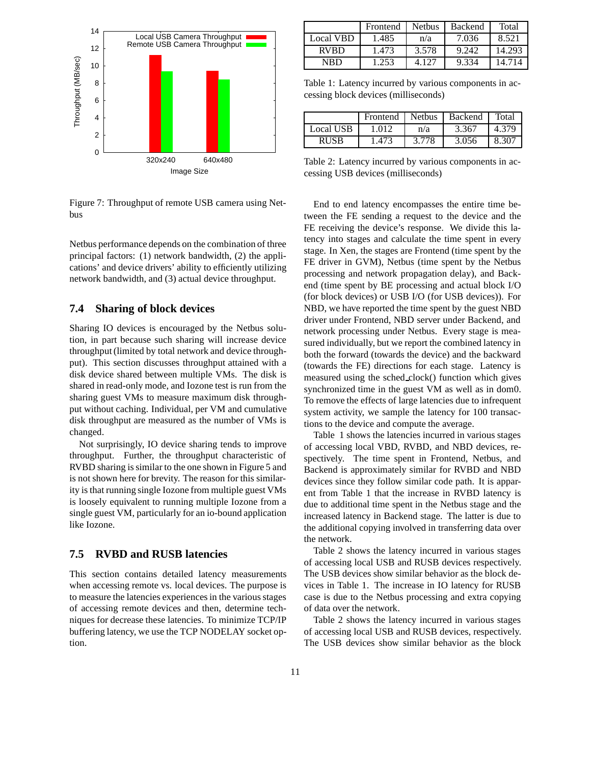

Figure 7: Throughput of remote USB camera using Netbus

Netbus performance depends on the combination of three principal factors: (1) network bandwidth, (2) the applications' and device drivers' ability to efficiently utilizing network bandwidth, and (3) actual device throughput.

## **7.4 Sharing of block devices**

Sharing IO devices is encouraged by the Netbus solution, in part because such sharing will increase device throughput (limited by total network and device throughput). This section discusses throughput attained with a disk device shared between multiple VMs. The disk is shared in read-only mode, and Iozone test is run from the sharing guest VMs to measure maximum disk throughput without caching. Individual, per VM and cumulative disk throughput are measured as the number of VMs is changed.

Not surprisingly, IO device sharing tends to improve throughput. Further, the throughput characteristic of RVBD sharing is similar to the one shown in Figure 5 and is not shown here for brevity. The reason for this similarity is that running single Iozone from multiple guest VMs is loosely equivalent to running multiple Iozone from a single guest VM, particularly for an io-bound application like Iozone.

# **7.5 RVBD and RUSB latencies**

This section contains detailed latency measurements when accessing remote vs. local devices. The purpose is to measure the latencies experiences in the various stages of accessing remote devices and then, determine techniques for decrease these latencies. To minimize TCP/IP buffering latency, we use the TCP NODELAY socket option.

|                  | Frontend | <b>Nethus</b> | <b>Backend</b> | Total  |
|------------------|----------|---------------|----------------|--------|
| <b>Local VBD</b> | 1.485    | n/a           | 7.036          | 8.521  |
| <b>RVBD</b>      | 1.473    | 3.578         | 9.242          | 14.293 |
| <b>NRD</b>       | 1.253    | 4 1 2 7       | 9.334          | 14.714 |

Table 1: Latency incurred by various components in accessing block devices (milliseconds)

|             | Frontend | <b>Nethus</b> | Backend | Total |
|-------------|----------|---------------|---------|-------|
| Local USB   | 1.012    | n/a           | 3.367   | 4.379 |
| <b>RUSB</b> | 1.473    | 3.778         | 3.056   | 8.307 |

Table 2: Latency incurred by various components in accessing USB devices (milliseconds)

End to end latency encompasses the entire time between the FE sending a request to the device and the FE receiving the device's response. We divide this latency into stages and calculate the time spent in every stage. In Xen, the stages are Frontend (time spent by the FE driver in GVM), Netbus (time spent by the Netbus processing and network propagation delay), and Backend (time spent by BE processing and actual block I/O (for block devices) or USB I/O (for USB devices)). For NBD, we have reported the time spent by the guest NBD driver under Frontend, NBD server under Backend, and network processing under Netbus. Every stage is measured individually, but we report the combined latency in both the forward (towards the device) and the backward (towards the FE) directions for each stage. Latency is measured using the sched clock() function which gives synchronized time in the guest VM as well as in dom0. To remove the effects of large latencies due to infrequent system activity, we sample the latency for 100 transactions to the device and compute the average.

Table 1 shows the latencies incurred in various stages of accessing local VBD, RVBD, and NBD devices, respectively. The time spent in Frontend, Netbus, and Backend is approximately similar for RVBD and NBD devices since they follow similar code path. It is apparent from Table 1 that the increase in RVBD latency is due to additional time spent in the Netbus stage and the increased latency in Backend stage. The latter is due to the additional copying involved in transferring data over the network.

Table 2 shows the latency incurred in various stages of accessing local USB and RUSB devices respectively. The USB devices show similar behavior as the block devices in Table 1. The increase in IO latency for RUSB case is due to the Netbus processing and extra copying of data over the network.

Table 2 shows the latency incurred in various stages of accessing local USB and RUSB devices, respectively. The USB devices show similar behavior as the block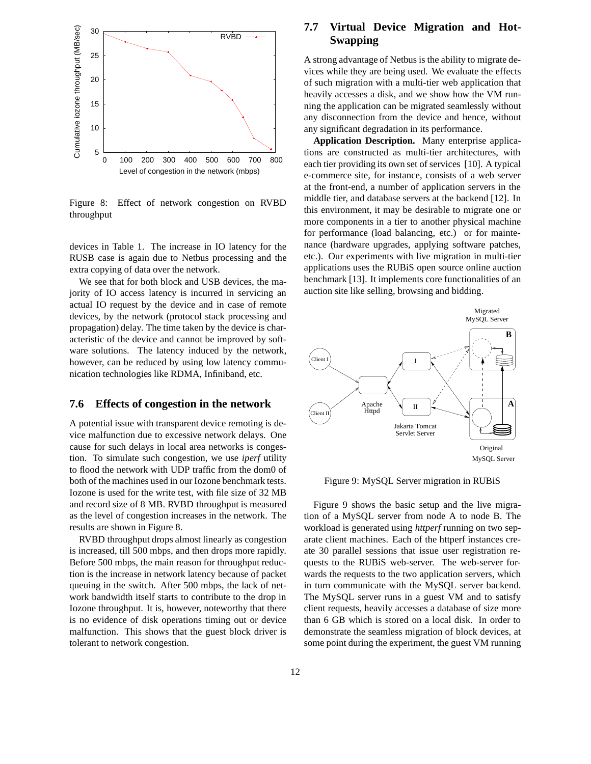

Figure 8: Effect of network congestion on RVBD throughput

devices in Table 1. The increase in IO latency for the RUSB case is again due to Netbus processing and the extra copying of data over the network.

We see that for both block and USB devices, the majority of IO access latency is incurred in servicing an actual IO request by the device and in case of remote devices, by the network (protocol stack processing and propagation) delay. The time taken by the device is characteristic of the device and cannot be improved by software solutions. The latency induced by the network, however, can be reduced by using low latency communication technologies like RDMA, Infiniband, etc.

## **7.6 Effects of congestion in the network**

A potential issue with transparent device remoting is device malfunction due to excessive network delays. One cause for such delays in local area networks is congestion. To simulate such congestion, we use *iperf* utility to flood the network with UDP traffic from the dom0 of both of the machines used in our Iozone benchmark tests. Iozone is used for the write test, with file size of 32 MB and record size of 8 MB. RVBD throughput is measured as the level of congestion increases in the network. The results are shown in Figure 8.

RVBD throughput drops almost linearly as congestion is increased, till 500 mbps, and then drops more rapidly. Before 500 mbps, the main reason for throughput reduction is the increase in network latency because of packet queuing in the switch. After 500 mbps, the lack of network bandwidth itself starts to contribute to the drop in Iozone throughput. It is, however, noteworthy that there is no evidence of disk operations timing out or device malfunction. This shows that the guest block driver is tolerant to network congestion.

## **7.7 Virtual Device Migration and Hot-Swapping**

A strong advantage of Netbus is the ability to migrate devices while they are being used. We evaluate the effects of such migration with a multi-tier web application that heavily accesses a disk, and we show how the VM running the application can be migrated seamlessly without any disconnection from the device and hence, without any significant degradation in its performance.

**Application Description.** Many enterprise applications are constructed as multi-tier architectures, with each tier providing its own set of services [10]. A typical e-commerce site, for instance, consists of a web server at the front-end, a number of application servers in the middle tier, and database servers at the backend [12]. In this environment, it may be desirable to migrate one or more components in a tier to another physical machine for performance (load balancing, etc.) or for maintenance (hardware upgrades, applying software patches, etc.). Our experiments with live migration in multi-tier applications uses the RUBiS open source online auction benchmark [13]. It implements core functionalities of an auction site like selling, browsing and bidding.



Figure 9: MySQL Server migration in RUBiS

Figure 9 shows the basic setup and the live migration of a MySQL server from node A to node B. The workload is generated using *httperf* running on two separate client machines. Each of the httperf instances create 30 parallel sessions that issue user registration requests to the RUBiS web-server. The web-server forwards the requests to the two application servers, which in turn communicate with the MySQL server backend. The MySQL server runs in a guest VM and to satisfy client requests, heavily accesses a database of size more than 6 GB which is stored on a local disk. In order to demonstrate the seamless migration of block devices, at some point during the experiment, the guest VM running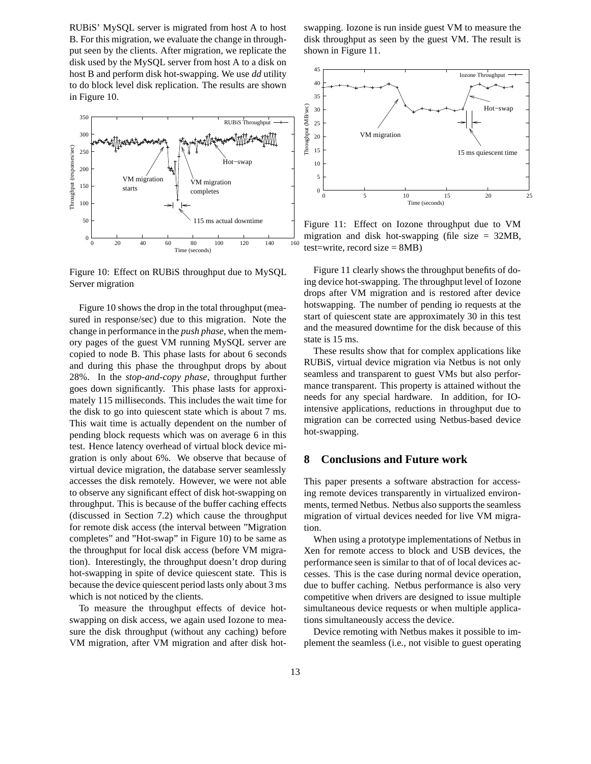RUBiS' MySQL server is migrated from host A to host B. For this migration, we evaluate the change in throughput seen by the clients. After migration, we replicate the disk used by the MySQL server from host A to a disk on host B and perform disk hot-swapping. We use *dd* utility to do block level disk replication. The results are shown in Figure 10.



Figure 10: Effect on RUBiS throughput due to MySQL Server migration

Figure 10 shows the drop in the total throughput (measured in response/sec) due to this migration. Note the change in performance in the *push phase*, when the memory pages of the guest VM running MySQL server are copied to node B. This phase lasts for about 6 seconds and during this phase the throughput drops by about 28%. In the *stop-and-copy phase*, throughput further goes down significantly. This phase lasts for approximately 115 milliseconds. This includes the wait time for the disk to go into quiescent state which is about 7 ms. This wait time is actually dependent on the number of pending block requests which was on average 6 in this test. Hence latency overhead of virtual block device migration is only about 6%. We observe that because of virtual device migration, the database server seamlessly accesses the disk remotely. However, we were not able to observe any significant effect of disk hot-swapping on throughput. This is because of the buffer caching effects (discussed in Section 7.2) which cause the throughput for remote disk access (the interval between "Migration completes" and "Hot-swap" in Figure 10) to be same as the throughput for local disk access (before VM migration). Interestingly, the throughput doesn't drop during hot-swapping in spite of device quiescent state. This is because the device quiescent period lasts only about 3 ms which is not noticed by the clients.

To measure the throughput effects of device hotswapping on disk access, we again used Iozone to measure the disk throughput (without any caching) before VM migration, after VM migration and after disk hotswapping. Iozone is run inside guest VM to measure the disk throughput as seen by the guest VM. The result is shown in Figure 11.



Figure 11: Effect on Iozone throughput due to VM migration and disk hot-swapping (file size  $= 32MB$ , test=write, record size = 8MB)

Figure 11 clearly shows the throughput benefits of doing device hot-swapping. The throughput level of Iozone drops after VM migration and is restored after device hotswapping. The number of pending io requests at the start of quiescent state are approximately 30 in this test and the measured downtime for the disk because of this state is 15 ms.

These results show that for complex applications like RUBiS, virtual device migration via Netbus is not only seamless and transparent to guest VMs but also performance transparent. This property is attained without the needs for any special hardware. In addition, for IOintensive applications, reductions in throughput due to migration can be corrected using Netbus-based device hot-swapping.

#### **8 Conclusions and Future work**

This paper presents a software abstraction for accessing remote devices transparently in virtualized environments, termed Netbus. Netbus also supports the seamless migration of virtual devices needed for live VM migration.

When using a prototype implementations of Netbus in Xen for remote access to block and USB devices, the performance seen is similar to that of of local devices accesses. This is the case during normal device operation, due to buffer caching. Netbus performance is also very competitive when drivers are designed to issue multiple simultaneous device requests or when multiple applications simultaneously access the device.

Device remoting with Netbus makes it possible to implement the seamless (i.e., not visible to guest operating